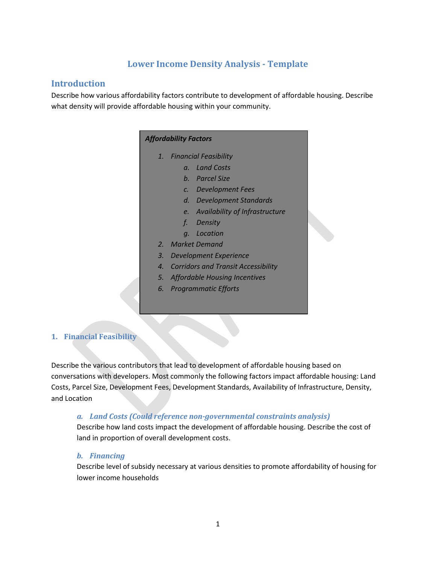# **Lower Income Density Analysis - Template**

## **Introduction**

Describe how various affordability factors contribute to development of affordable housing. Describe what density will provide affordable housing within your community.

## *Affordability Factors*

- *1. Financial Feasibility*
	- *a. Land Costs*
	- *b. Parcel Size*
	- *c. Development Fees*
	- *d. Development Standards*
	- *e. Availability of Infrastructure*
	- *f. Density*
	- *g. Location*
- *2. Market Demand*
- *3. Development Experience*
- *4. Corridors and Transit Accessibility*
- *5. Affordable Housing Incentives*
- *6. Programmatic Efforts*

## **1. Financial Feasibility**

Describe the various contributors that lead to development of affordable housing based on conversations with developers. Most commonly the following factors impact affordable housing: Land Costs, Parcel Size, Development Fees, Development Standards, Availability of Infrastructure, Density, and Location

## *a. Land Costs (Could reference non-governmental constraints analysis)*

Describe how land costs impact the development of affordable housing. Describe the cost of land in proportion of overall development costs.

## *b. Financing*

Describe level of subsidy necessary at various densities to promote affordability of housing for lower income households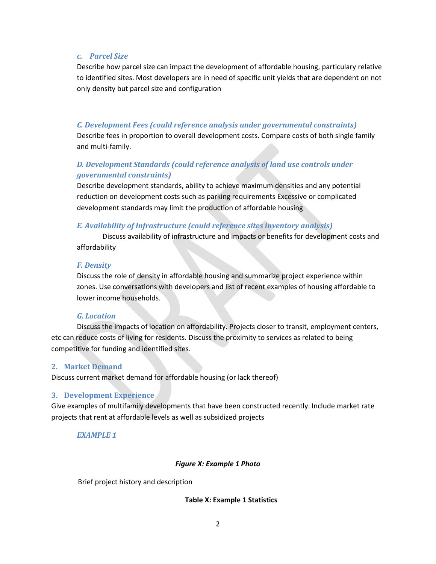#### *c. Parcel Size*

Describe how parcel size can impact the development of affordable housing, particulary relative to identified sites. Most developers are in need of specific unit yields that are dependent on not only density but parcel size and configuration

## *C. Development Fees (could reference analysis under governmental constraints)*

Describe fees in proportion to overall development costs. Compare costs of both single family and multi-family.

## *D. Development Standards (could reference analysis of land use controls under governmental constraints)*

Describe development standards, ability to achieve maximum densities and any potential reduction on development costs such as parking requirements Excessive or complicated development standards may limit the production of affordable housing

## *E. Availability of Infrastructure (could reference sites inventory analysis)*

Discuss availability of infrastructure and impacts or benefits for development costs and affordability

#### *F. Density*

Discuss the role of density in affordable housing and summarize project experience within zones. Use conversations with developers and list of recent examples of housing affordable to lower income households.

## *G. Location*

Discuss the impacts of location on affordability. Projects closer to transit, employment centers, etc can reduce costs of living for residents. Discuss the proximity to services as related to being competitive for funding and identified sites.

## **2. Market Demand**

Discuss current market demand for affordable housing (or lack thereof)

## **3. Development Experience**

Give examples of multifamily developments that have been constructed recently. Include market rate projects that rent at affordable levels as well as subsidized projects

*EXAMPLE 1*

#### *Figure X: Example 1 Photo*

Brief project history and description

#### **Table X: Example 1 Statistics**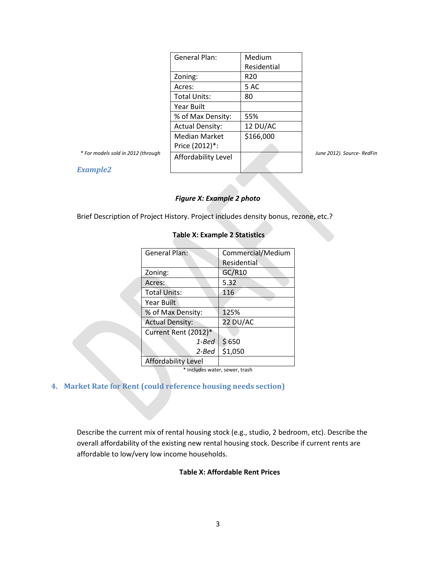|                                    | <b>General Plan:</b>   | Medium          |                            |
|------------------------------------|------------------------|-----------------|----------------------------|
|                                    |                        | Residential     |                            |
|                                    | Zoning:                | R <sub>20</sub> |                            |
|                                    | Acres:                 | 5 AC            |                            |
|                                    | <b>Total Units:</b>    | 80              |                            |
|                                    | Year Built             |                 |                            |
|                                    | % of Max Density:      | 55%             |                            |
|                                    | <b>Actual Density:</b> | 12 DU/AC        |                            |
|                                    | <b>Median Market</b>   | \$166,000       |                            |
|                                    | Price (2012)*:         |                 |                            |
| * For models sold in 2012 (through | Affordability Level    |                 | June 2012). Source- RedFin |
|                                    |                        |                 |                            |

*Example2* 

#### *Figure X: Example 2 photo*

Brief Description of Project History. Project includes density bonus, rezone, etc.?

| Table A. Example 2 Statistics |                   |  |  |  |  |  |  |  |
|-------------------------------|-------------------|--|--|--|--|--|--|--|
| General Plan:                 | Commercial/Medium |  |  |  |  |  |  |  |
|                               | Residential       |  |  |  |  |  |  |  |
| Zoning:                       | GC/R10            |  |  |  |  |  |  |  |
| Acres:                        | 5.32              |  |  |  |  |  |  |  |
| <b>Total Units:</b>           | 116               |  |  |  |  |  |  |  |
| Year Built                    |                   |  |  |  |  |  |  |  |
| % of Max Density:             | 125%              |  |  |  |  |  |  |  |
| <b>Actual Density:</b>        | 22 DU/AC          |  |  |  |  |  |  |  |
| Current Rent (2012)*          |                   |  |  |  |  |  |  |  |
| 1-Bed                         | \$650             |  |  |  |  |  |  |  |
| 2-Bed                         | \$1,050           |  |  |  |  |  |  |  |
| Affordability Level           |                   |  |  |  |  |  |  |  |

## **Table X: Example 2 Statistics**

\* Includes water, sewer, trash

## **4. Market Rate for Rent (could reference housing needs section)**

Describe the current mix of rental housing stock (e.g., studio, 2 bedroom, etc). Describe the overall affordability of the existing new rental housing stock. Describe if current rents are affordable to low/very low income households.

## **Table X: Affordable Rent Prices**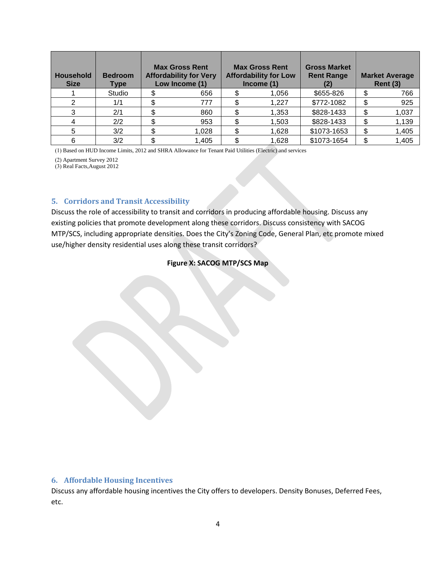| <b>Household</b><br><b>Size</b> | <b>Bedroom</b><br>Type | <b>Max Gross Rent</b><br><b>Affordability for Very</b><br>Low Income (1) |       | <b>Max Gross Rent</b><br><b>Affordability for Low</b><br>Income (1) |       | <b>Gross Market</b><br><b>Rent Range</b> | <b>Market Average</b><br><b>Rent (3)</b> |       |
|---------------------------------|------------------------|--------------------------------------------------------------------------|-------|---------------------------------------------------------------------|-------|------------------------------------------|------------------------------------------|-------|
|                                 | Studio                 |                                                                          | 656   |                                                                     | 1,056 | \$655-826                                |                                          | 766   |
| 2                               | 1/1                    |                                                                          | 777   |                                                                     | 1,227 | \$772-1082                               |                                          | 925   |
| 3                               | 2/1                    |                                                                          | 860   |                                                                     | 1,353 | \$828-1433                               |                                          | 1,037 |
|                                 | 2/2                    |                                                                          | 953   |                                                                     | 1,503 | \$828-1433                               |                                          | 1,139 |
| 5                               | 3/2                    |                                                                          | 1,028 |                                                                     | 1,628 | \$1073-1653                              |                                          | 1,405 |
| 6                               | 3/2                    |                                                                          | 1,405 |                                                                     | 1,628 | \$1073-1654                              |                                          | 1,405 |

(1) Based on HUD Income Limits, 2012 and SHRA Allowance for Tenant Paid Utilities (Electric) and services

(2) Apartment Survey 2012

(3) Real Facts,August 2012

## **5. Corridors and Transit Accessibility**

Discuss the role of accessibility to transit and corridors in producing affordable housing. Discuss any existing policies that promote development along these corridors. Discuss consistency with SACOG MTP/SCS, including appropriate densities. Does the City's Zoning Code, General Plan, etc promote mixed use/higher density residential uses along these transit corridors?

## **Figure X: SACOG MTP/SCS Map**

## **6. Affordable Housing Incentives**

Discuss any affordable housing incentives the City offers to developers. Density Bonuses, Deferred Fees, etc.